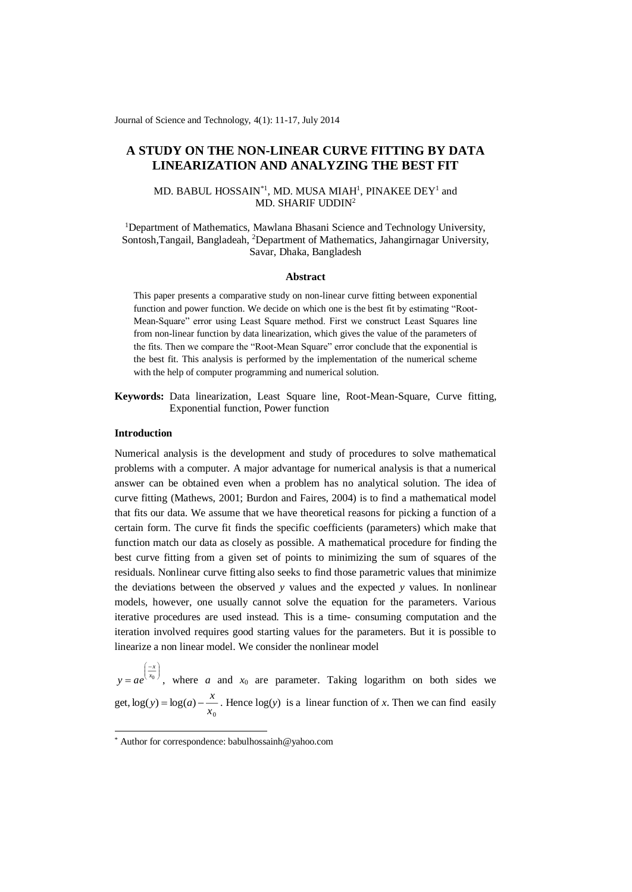Journal of Science and Technology, 4(1): 11-17, July 2014

# **A STUDY ON THE NON-LINEAR CURVE FITTING BY DATA LINEARIZATION AND ANALYZING THE BEST FIT**

## MD. BABUL HOSSAIN<sup>\*1</sup>, MD. MUSA MIAH<sup>1</sup>, PINAKEE DEY<sup>1</sup> and MD. SHARIF UDDIN<sup>2</sup>

<sup>1</sup>Department of Mathematics, Mawlana Bhasani Science and Technology University, Sontosh,Tangail, Bangladeah, <sup>2</sup>Department of Mathematics, Jahangirnagar University, Savar, Dhaka, Bangladesh

#### **Abstract**

This paper presents a comparative study on non-linear curve fitting between exponential function and power function. We decide on which one is the best fit by estimating "Root-Mean-Square" error using Least Square method. First we construct Least Squares line from non-linear function by data linearization, which gives the value of the parameters of the fits. Then we compare the "Root-Mean Square" error conclude that the exponential is the best fit. This analysis is performed by the implementation of the numerical scheme with the help of computer programming and numerical solution.

**Keywords:** Data linearization, Least Square line, Root-Mean-Square, Curve fitting, Exponential function, Power function

## **Introduction**

í –.

-

*x*

Numerical analysis is the development and study of procedures to solve mathematical problems with a computer. A major advantage for numerical analysis is that a numerical answer can be obtained even when a problem has no analytical solution. The idea of curve fitting (Mathews, 2001; Burdon and Faires, 2004) is to find a mathematical model that fits our data. We assume that we have theoretical reasons for picking a function of a certain form. The curve fit finds the specific coefficients (parameters) which make that function match our data as closely as possible. A mathematical procedure for finding the best curve fitting from a given set of points to minimizing the sum of squares of the residuals. Nonlinear curve fitting also seeks to find those parametric values that minimize the deviations between the observed *y* values and the expected *y* values. In nonlinear models, however, one usually cannot solve the equation for the parameters. Various iterative procedures are used instead. This is a time- consuming computation and the iteration involved requires good starting values for the parameters. But it is possible to linearize a non linear model. We consider the nonlinear model

J  $\left(\frac{-x}{x_0}\right)$  $= a e^{x}$  $y = ae^{x_0}$ , where *a* and *x*<sub>0</sub> are parameter. Taking logarithm on both sides we get, 0  $\log(y) = \log(a) - \frac{1}{x}$  $y$  =  $\log(a)$  –  $\frac{x}{x}$ . Hence  $\log(y)$  is a linear function of *x*. Then we can find easily

<sup>\*</sup> Author for correspondence: babulhossainh@yahoo.com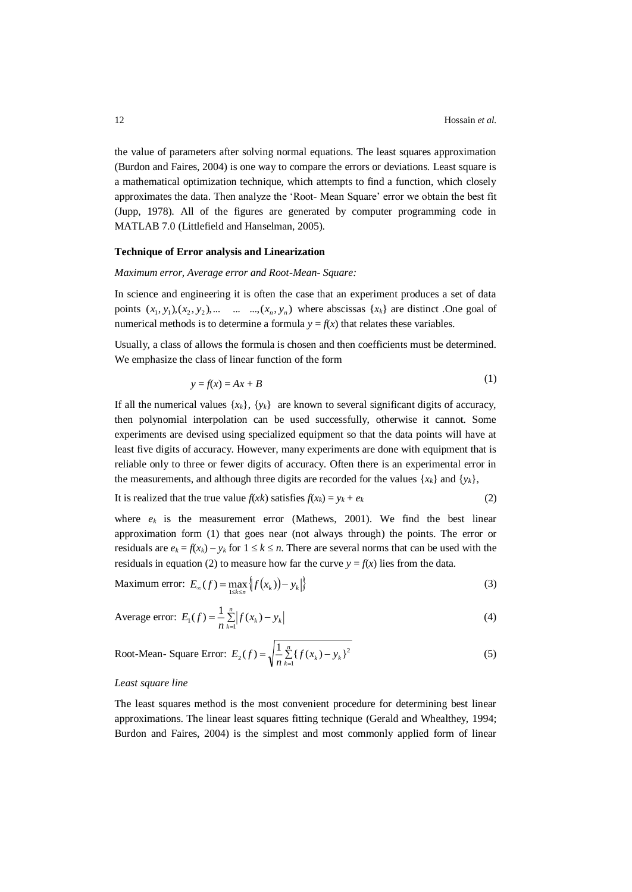the value of parameters after solving normal equations. The least squares approximation (Burdon and Faires, 2004) is one way to compare the errors or deviations. Least square is a mathematical optimization technique, which attempts to find a function, which closely approximates the data. Then analyze the 'Root- Mean Square' error we obtain the best fit (Jupp, 1978). All of the figures are generated by computer programming code in MATLAB 7.0 (Littlefield and Hanselman, 2005).

#### **Technique of Error analysis and Linearization**

### *Maximum error, Average error and Root-Mean- Square:*

In science and engineering it is often the case that an experiment produces a set of data points  $(x_1, y_1), (x_2, y_2), \dots \dots \dots (x_n, y_n)$  where abscissas  $\{x_k\}$  are distinct .One goal of numerical methods is to determine a formula  $y = f(x)$  that relates these variables.

Usually, a class of allows the formula is chosen and then coefficients must be determined. We emphasize the class of linear function of the form

$$
y = f(x) = Ax + B \tag{1}
$$

If all the numerical values  $\{x_k\}$ ,  $\{y_k\}$  are known to several significant digits of accuracy, then polynomial interpolation can be used successfully, otherwise it cannot. Some experiments are devised using specialized equipment so that the data points will have at least five digits of accuracy. However, many experiments are done with equipment that is reliable only to three or fewer digits of accuracy. Often there is an experimental error in the measurements, and although three digits are recorded for the values  $\{x_k\}$  and  $\{y_k\}$ ,

It is realized that the true value 
$$
f(xk)
$$
 satisfies  $f(x_k) = y_k + e_k$  (2)

where  $e_k$  is the measurement error (Mathews, 2001). We find the best linear approximation form (1) that goes near (not always through) the points. The error or residuals are  $e_k = f(x_k) - y_k$  for  $1 \le k \le n$ . There are several norms that can be used with the residuals in equation (2) to measure how far the curve  $y = f(x)$  lies from the data.

Maximum error: 
$$
E_{\infty}(f) = \max_{1 \le k \le n} \left\{ f(x_k) - y_k \right\}
$$
 (3)

Average error: 
$$
E_1(f) = \frac{1}{n} \sum_{k=1}^{n} |f(x_k) - y_k|
$$
 (4)

Root-Mean- Square Error: 
$$
E_2(f) = \sqrt{\frac{1}{n} \sum_{k=1}^{n} \{f(x_k) - y_k\}^2}
$$
 (5)

#### *Least square line*

The least squares method is the most convenient procedure for determining best linear approximations. The linear least squares fitting technique (Gerald and Whealthey, 1994; Burdon and Faires, 2004) is the simplest and most commonly applied form of linear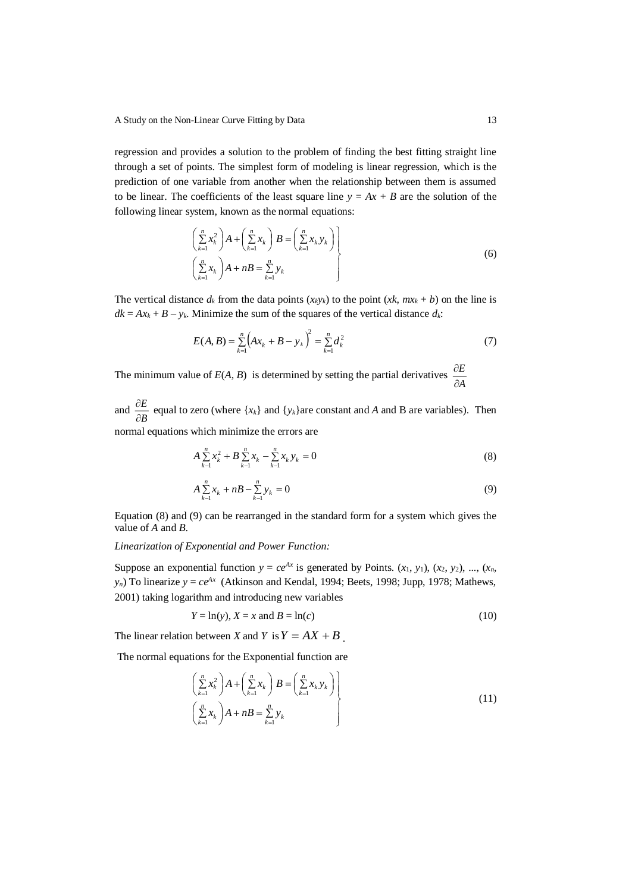regression and provides a solution to the problem of finding the best fitting straight line through a set of points. The simplest form of modeling is linear regression, which is the prediction of one variable from another when the relationship between them is assumed to be linear. The coefficients of the least square line  $y = Ax + B$  are the solution of the following linear system, known as the normal equations:

$$
\left(\sum_{k=1}^{n} x_k^2 \right) A + \left(\sum_{k=1}^{n} x_k \right) B = \left(\sum_{k=1}^{n} x_k y_k \right) \left(\sum_{k=1}^{n} x_k \right) A + nB = \sum_{k=1}^{n} y_k \tag{6}
$$

The vertical distance  $d_k$  from the data points  $(x_k y_k)$  to the point  $(x_k, mx_k + b)$  on the line is  $dk = Ax_k + B - y_k$ . Minimize the sum of the squares of the vertical distance  $d_k$ :

$$
E(A, B) = \sum_{k=1}^{n} (Ax_k + B - y_k)^2 = \sum_{k=1}^{n} d_k^2
$$
 (7)

The minimum value of  $E(A, B)$  is determined by setting the partial derivatives  $\frac{\partial E}{\partial A}$ *E* д д

and  $\frac{\partial E}{\partial B}$ *E* д  $\frac{\partial E}{\partial \rho}$  equal to zero (where {*x<sub>k</sub>*} and {*y<sub>k</sub>*} are constant and *A* and B are variables). Then normal equations which minimize the errors are

$$
A\sum_{k=1}^{n} x_k^2 + B\sum_{k=1}^{n} x_k - \sum_{k=1}^{n} x_k y_k = 0
$$
\n(8)

$$
A\sum_{k=1}^{n} x_k + nB - \sum_{k=1}^{n} y_k = 0
$$
\n(9)

Equation (8) and (9) can be rearranged in the standard form for a system which gives the value of *A* and *B*.

## *Linearization of Exponential and Power Function:*

Suppose an exponential function  $y = ce^{Ax}$  is generated by Points.  $(x_1, y_1)$ ,  $(x_2, y_2)$ , ...,  $(x_n, y_n)$  $y_n$ ) To linearize  $y = ce^{Ax}$  (Atkinson and Kendal, 1994; Beets, 1998; Jupp, 1978; Mathews, 2001) taking logarithm and introducing new variables

$$
Y = \ln(y), X = x \text{ and } B = \ln(c) \tag{10}
$$

The linear relation between *X* and *Y* is  $Y = AX + B$ .

The normal equations for the Exponential function are

$$
\left(\sum_{k=1}^{n} x_k^2\right) A + \left(\sum_{k=1}^{n} x_k\right) B = \left(\sum_{k=1}^{n} x_k y_k\right) \right] \tag{11}
$$
\n
$$
\left(\sum_{k=1}^{n} x_k\right) A + nB = \sum_{k=1}^{n} y_k
$$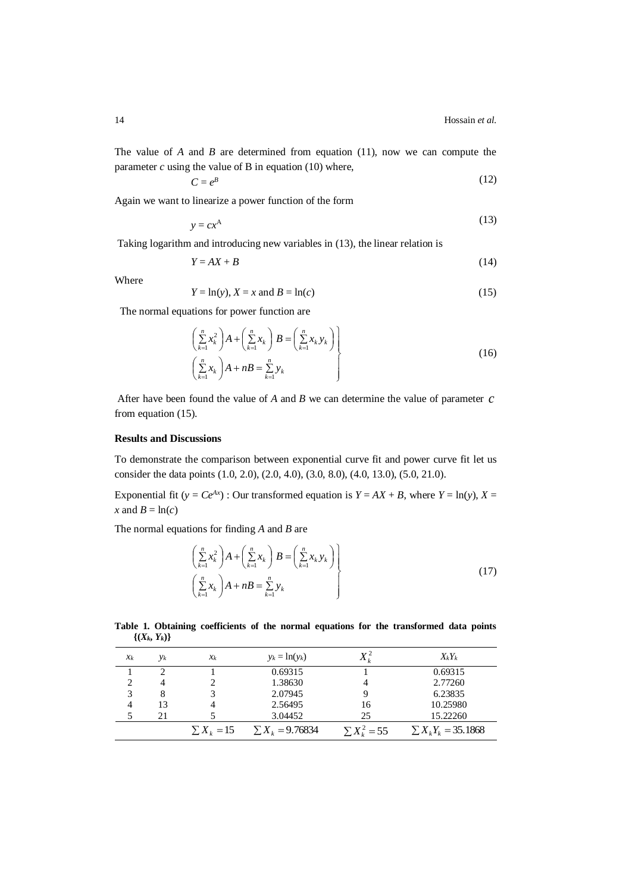$$
C = e^B \tag{12}
$$

Again we want to linearize a power function of the form

$$
y = cx^A \tag{13}
$$

Taking logarithm and introducing new variables in (13), the linear relation is

$$
Y = AX + B \tag{14}
$$

Where

$$
Y = \ln(y), X = x \text{ and } B = \ln(c) \tag{15}
$$

The normal equations for power function are

$$
\left(\sum_{k=1}^{n} x_k^2\right) A + \left(\sum_{k=1}^{n} x_k\right) B = \left(\sum_{k=1}^{n} x_k y_k\right) \left(\sum_{k=1}^{n} x_k\right) A + nB = \sum_{k=1}^{n} y_k
$$
\n(16)

After have been found the value of *A* and *B* we can determine the value of parameter *c* from equation (15).

### **Results and Discussions**

To demonstrate the comparison between exponential curve fit and power curve fit let us consider the data points (1.0, 2.0), (2.0, 4.0), (3.0, 8.0), (4.0, 13.0), (5.0, 21.0).

Exponential fit ( $y = Ce^{Ax}$ ) : Our transformed equation is  $Y = AX + B$ , where  $Y = \ln(y)$ ,  $X =$ *x* and  $B = \ln(c)$ 

The normal equations for finding *A* and *B* are

$$
\left(\sum_{k=1}^{n} x_k^2\right) A + \left(\sum_{k=1}^{n} x_k\right) B = \left(\sum_{k=1}^{n} x_k y_k\right) \left(\sum_{k=1}^{n} x_k\right) A + nB = \sum_{k=1}^{n} y_k \tag{17}
$$

**Table 1. Obtaining coefficients of the normal equations for the transformed data points**  $\{(X_k, Y_k)\}$ 

| $x_k$ | $y_k$ | $\chi_k$        | $y_k = \ln(y_k)$     |                   | $X_kY_k$                 |
|-------|-------|-----------------|----------------------|-------------------|--------------------------|
|       |       |                 | 0.69315              |                   | 0.69315                  |
|       |       |                 | 1.38630              |                   | 2.77260                  |
| 3     |       |                 | 2.07945              |                   | 6.23835                  |
| 4     | 13    | 4               | 2.56495              | 16                | 10.25980                 |
|       | 21    |                 | 3.04452              | 25                | 15.22260                 |
|       |       | $\sum X_k = 15$ | $\sum X_k = 9.76834$ | $\sum X_i^2 = 55$ | $\sum X_k Y_k = 35.1868$ |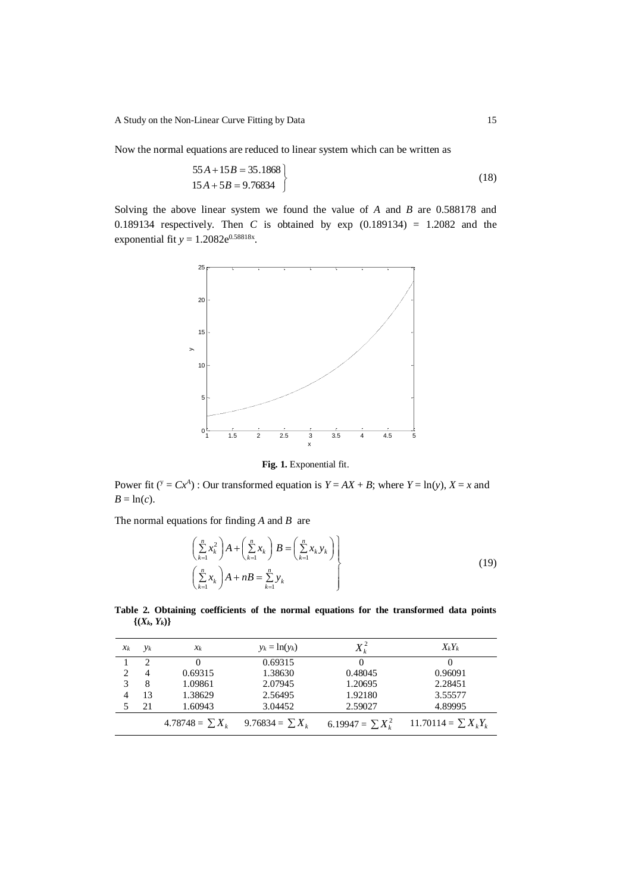Now the normal equations are reduced to linear system which can be written as

$$
55A + 15B = 35.1868
$$
  

$$
15A + 5B = 9.76834
$$
 (18)

Solving the above linear system we found the value of *A* and *B* are 0.588178 and 0.189134 respectively. Then *C* is obtained by exp  $(0.189134) = 1.2082$  and the exponential fit  $y = 1.2082e^{0.58818x}$ .



**Fig. 1.** Exponential fit.

Power fit ( $y = Cx^A$ ) : Our transformed equation is  $Y = AX + B$ ; where  $Y = \ln(y)$ ,  $X = x$  and  $B = \ln(c)$ .

The normal equations for finding *A* and *B* are

$$
\left(\sum_{k=1}^{n} x_k^2\right) A + \left(\sum_{k=1}^{n} x_k\right) B = \left(\sum_{k=1}^{n} x_k y_k\right) \left(\sum_{k=1}^{n} x_k\right) A + nB = \sum_{k=1}^{n} y_k \tag{19}
$$

**Table 2. Obtaining coefficients of the normal equations for the transformed data points**  $\{(X_k, Y_k)\}$ 

| $x_k$ | $y_k$                       | $x_k$                | $y_k = \ln(y_k)$     | $X_k^2$                | $X_kY_k$                  |
|-------|-----------------------------|----------------------|----------------------|------------------------|---------------------------|
|       | $\mathcal{D}_{\mathcal{L}}$ |                      | 0.69315              |                        |                           |
|       | 4                           | 0.69315              | 1.38630              | 0.48045                | 0.96091                   |
|       | 8                           | 1.09861              | 2.07945              | 1.20695                | 2.28451                   |
|       | 13                          | 1.38629              | 2.56495              | 1.92180                | 3.55577                   |
|       | 21                          | 1.60943              | 3.04452              | 2.59027                | 4.89995                   |
|       |                             | 4.78748 = $\sum X_k$ | 9.76834 = $\sum X_k$ | 6.19947 = $\sum X_i^2$ | 11.70114 = $\sum X_i Y_i$ |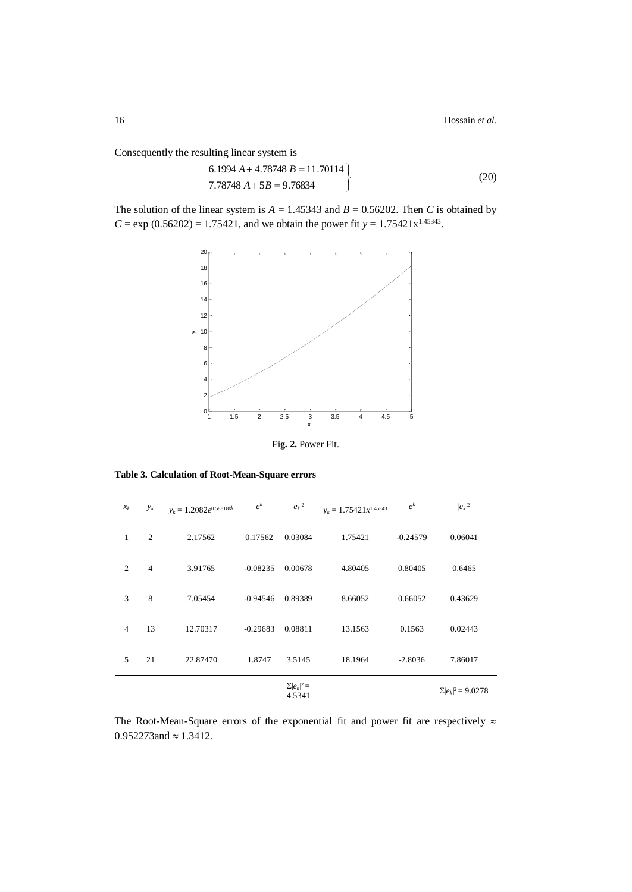Consequently the resulting linear system is

$$
6.1994 A + 4.78748 B = 11.70114
$$
  
7.78748 A + 5B = 9.76834 (20)

The solution of the linear system is  $A = 1.45343$  and  $B = 0.56202$ . Then *C* is obtained by  $C = \exp(0.56202) = 1.75421$ , and we obtain the power fit  $y = 1.75421x^{1.45343}$ .



**Fig. 2.** Power Fit.

|  | Table 3. Calculation of Root-Mean-Square errors |  |
|--|-------------------------------------------------|--|
|  |                                                 |  |

| $x_k$          | $y_k$          | $y_k = 1.2082e^{0.58818xk}$ | $e^{k}$    | $ e_k ^2$                    | $y_k = 1.75421x^{1.45343}$ | $e^{k}$    | $ e_k ^2$                 |
|----------------|----------------|-----------------------------|------------|------------------------------|----------------------------|------------|---------------------------|
| 1              | 2              | 2.17562                     | 0.17562    | 0.03084                      | 1.75421                    | $-0.24579$ | 0.06041                   |
| $\overline{2}$ | $\overline{4}$ | 3.91765                     | $-0.08235$ | 0.00678                      | 4.80405                    | 0.80405    | 0.6465                    |
| 3              | 8              | 7.05454                     | $-0.94546$ | 0.89389                      | 8.66052                    | 0.66052    | 0.43629                   |
| $\overline{4}$ | 13             | 12.70317                    | $-0.29683$ | 0.08811                      | 13.1563                    | 0.1563     | 0.02443                   |
| 5              | 21             | 22.87470                    | 1.8747     | 3.5145                       | 18.1964                    | $-2.8036$  | 7.86017                   |
|                |                |                             |            | $\Sigma  e_k ^2 =$<br>4.5341 |                            |            | $\Sigma  e_k ^2 = 9.0278$ |

The Root-Mean-Square errors of the exponential fit and power fit are respectively  $\approx$  $0.952273$ and  $\approx 1.3412$ .